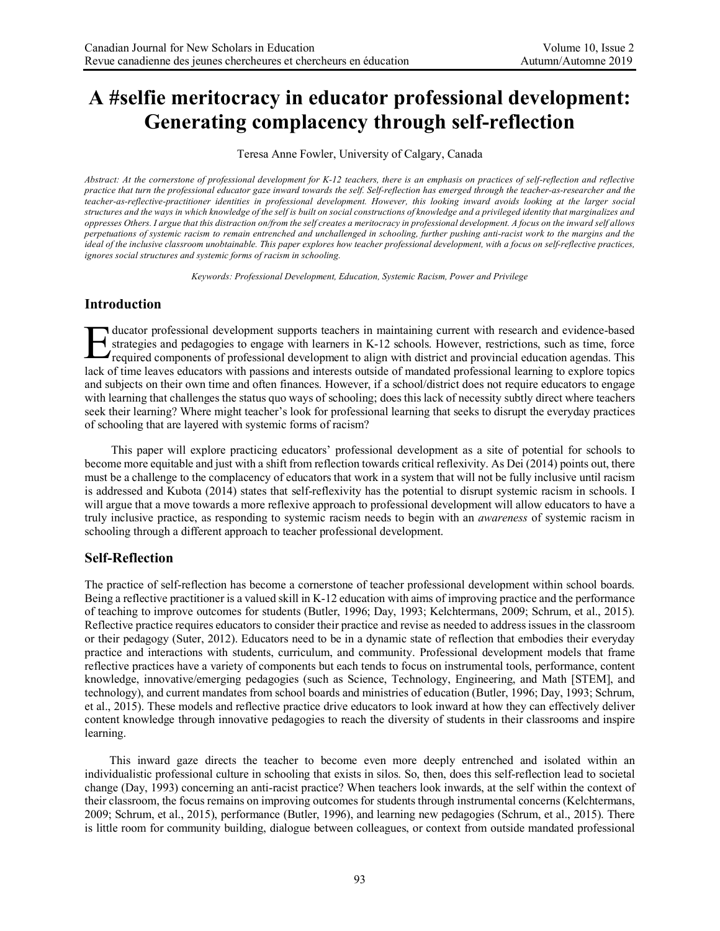# **A #selfie meritocracy in educator professional development: Generating complacency through self-reflection**

Teresa Anne Fowler, University of Calgary, Canada

*Abstract: At the cornerstone of professional development for K-12 teachers, there is an emphasis on practices of self-reflection and reflective practice that turn the professional educator gaze inward towards the self. Self-reflection has emerged through the teacher-as-researcher and the teacher-as-reflective-practitioner identities in professional development. However, this looking inward avoids looking at the larger social structures and the ways in which knowledge of the self is built on social constructions of knowledge and a privileged identity that marginalizes and oppresses Others. I argue that this distraction on/from the self creates a meritocracy in professional development. A focus on the inward self allows perpetuations of systemic racism to remain entrenched and unchallenged in schooling, further pushing anti-racist work to the margins and the ideal of the inclusive classroom unobtainable. This paper explores how teacher professional development, with a focus on self-reflective practices, ignores social structures and systemic forms of racism in schooling.*

*Keywords: Professional Development, Education, Systemic Racism, Power and Privilege*

# **Introduction**

ducator professional development supports teachers in maintaining current with research and evidence-based strategies and pedagogies to engage with learners in K-12 schools. However, restrictions, such as time, force required components of professional development to align with district and provincial education agendas. This lack of time leaves educators with passions and interests outside of mandated professional learning to explore topics and subjects on their own time and often finances. However, if a school/district does not require educators to engage with learning that challenges the status quo ways of schooling; does this lack of necessity subtly direct where teachers seek their learning? Where might teacher's look for professional learning that seeks to disrupt the everyday practices of schooling that are layered with systemic forms of racism? E

This paper will explore practicing educators' professional development as a site of potential for schools to become more equitable and just with a shift from reflection towards critical reflexivity. As Dei (2014) points out, there must be a challenge to the complacency of educators that work in a system that will not be fully inclusive until racism is addressed and Kubota (2014) states that self-reflexivity has the potential to disrupt systemic racism in schools. I will argue that a move towards a more reflexive approach to professional development will allow educators to have a truly inclusive practice, as responding to systemic racism needs to begin with an *awareness* of systemic racism in schooling through a different approach to teacher professional development.

### **Self-Reflection**

The practice of self-reflection has become a cornerstone of teacher professional development within school boards. Being a reflective practitioner is a valued skill in K-12 education with aims of improving practice and the performance of teaching to improve outcomes for students (Butler, 1996; Day, 1993; Kelchtermans, 2009; Schrum, et al., 2015). Reflective practice requires educators to consider their practice and revise as needed to address issues in the classroom or their pedagogy (Suter, 2012). Educators need to be in a dynamic state of reflection that embodies their everyday practice and interactions with students, curriculum, and community. Professional development models that frame reflective practices have a variety of components but each tends to focus on instrumental tools, performance, content knowledge, innovative/emerging pedagogies (such as Science, Technology, Engineering, and Math [STEM], and technology), and current mandates from school boards and ministries of education (Butler, 1996; Day, 1993; Schrum, et al., 2015). These models and reflective practice drive educators to look inward at how they can effectively deliver content knowledge through innovative pedagogies to reach the diversity of students in their classrooms and inspire learning.

This inward gaze directs the teacher to become even more deeply entrenched and isolated within an individualistic professional culture in schooling that exists in silos. So, then, does this self-reflection lead to societal change (Day, 1993) concerning an anti-racist practice? When teachers look inwards, at the self within the context of their classroom, the focus remains on improving outcomes for students through instrumental concerns (Kelchtermans, 2009; Schrum, et al., 2015), performance (Butler, 1996), and learning new pedagogies (Schrum, et al., 2015). There is little room for community building, dialogue between colleagues, or context from outside mandated professional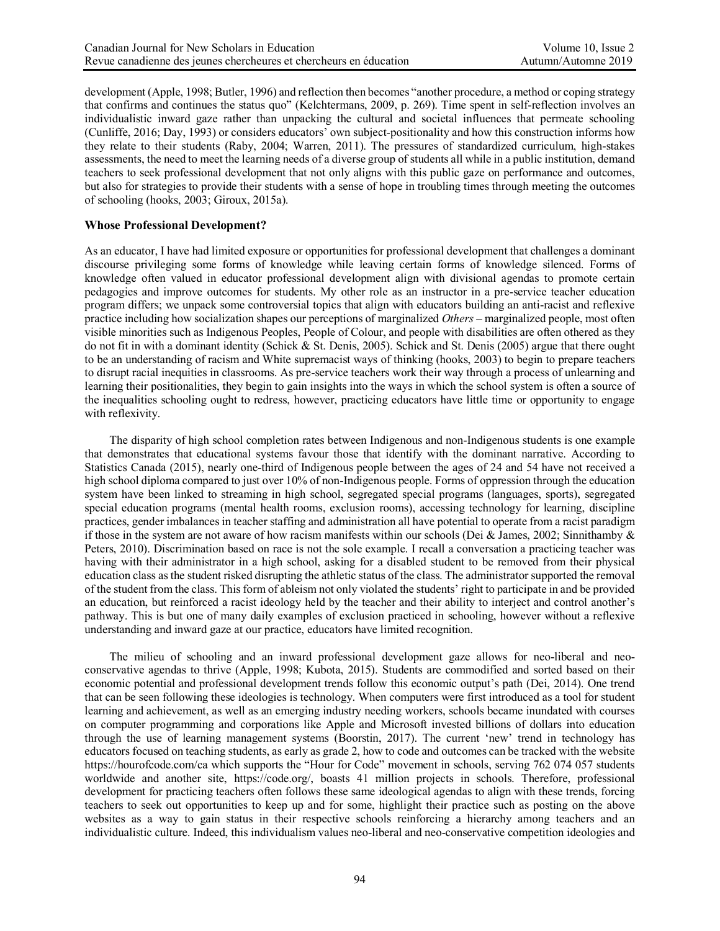development (Apple, 1998; Butler, 1996) and reflection then becomes "another procedure, a method or coping strategy that confirms and continues the status quo" (Kelchtermans, 2009, p. 269). Time spent in self-reflection involves an individualistic inward gaze rather than unpacking the cultural and societal influences that permeate schooling (Cunliffe, 2016; Day, 1993) or considers educators' own subject-positionality and how this construction informs how they relate to their students (Raby, 2004; Warren, 2011). The pressures of standardized curriculum, high-stakes assessments, the need to meet the learning needs of a diverse group of students all while in a public institution, demand teachers to seek professional development that not only aligns with this public gaze on performance and outcomes, but also for strategies to provide their students with a sense of hope in troubling times through meeting the outcomes of schooling (hooks, 2003; Giroux, 2015a).

#### **Whose Professional Development?**

As an educator, I have had limited exposure or opportunities for professional development that challenges a dominant discourse privileging some forms of knowledge while leaving certain forms of knowledge silenced. Forms of knowledge often valued in educator professional development align with divisional agendas to promote certain pedagogies and improve outcomes for students. My other role as an instructor in a pre-service teacher education program differs; we unpack some controversial topics that align with educators building an anti-racist and reflexive practice including how socialization shapes our perceptions of marginalized *Others* – marginalized people, most often visible minorities such as Indigenous Peoples, People of Colour, and people with disabilities are often othered as they do not fit in with a dominant identity (Schick & St. Denis, 2005). Schick and St. Denis (2005) argue that there ought to be an understanding of racism and White supremacist ways of thinking (hooks, 2003) to begin to prepare teachers to disrupt racial inequities in classrooms. As pre-service teachers work their way through a process of unlearning and learning their positionalities, they begin to gain insights into the ways in which the school system is often a source of the inequalities schooling ought to redress, however, practicing educators have little time or opportunity to engage with reflexivity.

The disparity of high school completion rates between Indigenous and non-Indigenous students is one example that demonstrates that educational systems favour those that identify with the dominant narrative. According to Statistics Canada (2015), nearly one-third of Indigenous people between the ages of 24 and 54 have not received a high school diploma compared to just over 10% of non-Indigenous people. Forms of oppression through the education system have been linked to streaming in high school, segregated special programs (languages, sports), segregated special education programs (mental health rooms, exclusion rooms), accessing technology for learning, discipline practices, gender imbalances in teacher staffing and administration all have potential to operate from a racist paradigm if those in the system are not aware of how racism manifests within our schools (Dei  $\&$  James, 2002; Sinnithamby  $\&$ Peters, 2010). Discrimination based on race is not the sole example. I recall a conversation a practicing teacher was having with their administrator in a high school, asking for a disabled student to be removed from their physical education class as the student risked disrupting the athletic status of the class. The administrator supported the removal of the student from the class. This form of ableism not only violated the students' right to participate in and be provided an education, but reinforced a racist ideology held by the teacher and their ability to interject and control another's pathway. This is but one of many daily examples of exclusion practiced in schooling, however without a reflexive understanding and inward gaze at our practice, educators have limited recognition.

The milieu of schooling and an inward professional development gaze allows for neo-liberal and neoconservative agendas to thrive (Apple, 1998; Kubota, 2015). Students are commodified and sorted based on their economic potential and professional development trends follow this economic output's path (Dei, 2014). One trend that can be seen following these ideologies is technology. When computers were first introduced as a tool for student learning and achievement, as well as an emerging industry needing workers, schools became inundated with courses on computer programming and corporations like Apple and Microsoft invested billions of dollars into education through the use of learning management systems (Boorstin, 2017). The current 'new' trend in technology has educators focused on teaching students, as early as grade 2, how to code and outcomes can be tracked with the website https://hourofcode.com/ca which supports the "Hour for Code" movement in schools, serving 762 074 057 students worldwide and another site, https://code.org/, boasts 41 million projects in schools. Therefore, professional development for practicing teachers often follows these same ideological agendas to align with these trends, forcing teachers to seek out opportunities to keep up and for some, highlight their practice such as posting on the above websites as a way to gain status in their respective schools reinforcing a hierarchy among teachers and an individualistic culture. Indeed, this individualism values neo-liberal and neo-conservative competition ideologies and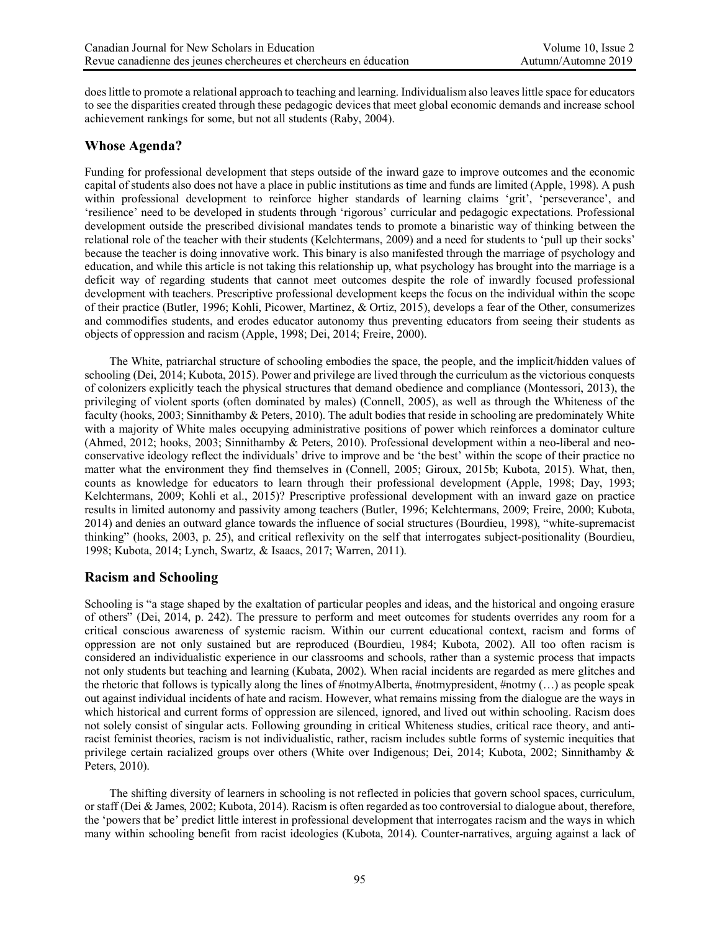does little to promote a relational approach to teaching and learning. Individualism also leaves little space for educators to see the disparities created through these pedagogic devices that meet global economic demands and increase school achievement rankings for some, but not all students (Raby, 2004).

## **Whose Agenda?**

Funding for professional development that steps outside of the inward gaze to improve outcomes and the economic capital of students also does not have a place in public institutions as time and funds are limited (Apple, 1998). A push within professional development to reinforce higher standards of learning claims 'grit', 'perseverance', and 'resilience' need to be developed in students through 'rigorous' curricular and pedagogic expectations. Professional development outside the prescribed divisional mandates tends to promote a binaristic way of thinking between the relational role of the teacher with their students (Kelchtermans, 2009) and a need for students to 'pull up their socks' because the teacher is doing innovative work. This binary is also manifested through the marriage of psychology and education, and while this article is not taking this relationship up, what psychology has brought into the marriage is a deficit way of regarding students that cannot meet outcomes despite the role of inwardly focused professional development with teachers. Prescriptive professional development keeps the focus on the individual within the scope of their practice (Butler, 1996; Kohli, Picower, Martinez, & Ortiz, 2015), develops a fear of the Other, consumerizes and commodifies students, and erodes educator autonomy thus preventing educators from seeing their students as objects of oppression and racism (Apple, 1998; Dei, 2014; Freire, 2000).

The White, patriarchal structure of schooling embodies the space, the people, and the implicit/hidden values of schooling (Dei, 2014; Kubota, 2015). Power and privilege are lived through the curriculum as the victorious conquests of colonizers explicitly teach the physical structures that demand obedience and compliance (Montessori, 2013), the privileging of violent sports (often dominated by males) (Connell, 2005), as well as through the Whiteness of the faculty (hooks, 2003; Sinnithamby & Peters, 2010). The adult bodies that reside in schooling are predominately White with a majority of White males occupying administrative positions of power which reinforces a dominator culture (Ahmed, 2012; hooks, 2003; Sinnithamby & Peters, 2010). Professional development within a neo-liberal and neoconservative ideology reflect the individuals' drive to improve and be 'the best' within the scope of their practice no matter what the environment they find themselves in (Connell, 2005; Giroux, 2015b; Kubota, 2015). What, then, counts as knowledge for educators to learn through their professional development (Apple, 1998; Day, 1993; Kelchtermans, 2009; Kohli et al., 2015)? Prescriptive professional development with an inward gaze on practice results in limited autonomy and passivity among teachers (Butler, 1996; Kelchtermans, 2009; Freire, 2000; Kubota, 2014) and denies an outward glance towards the influence of social structures (Bourdieu, 1998), "white-supremacist thinking" (hooks, 2003, p. 25), and critical reflexivity on the self that interrogates subject-positionality (Bourdieu, 1998; Kubota, 2014; Lynch, Swartz, & Isaacs, 2017; Warren, 2011).

### **Racism and Schooling**

Schooling is "a stage shaped by the exaltation of particular peoples and ideas, and the historical and ongoing erasure of others" (Dei, 2014, p. 242). The pressure to perform and meet outcomes for students overrides any room for a critical conscious awareness of systemic racism. Within our current educational context, racism and forms of oppression are not only sustained but are reproduced (Bourdieu, 1984; Kubota, 2002). All too often racism is considered an individualistic experience in our classrooms and schools, rather than a systemic process that impacts not only students but teaching and learning (Kubata, 2002). When racial incidents are regarded as mere glitches and the rhetoric that follows is typically along the lines of #notmyAlberta, #notmypresident, #notmy (…) as people speak out against individual incidents of hate and racism. However, what remains missing from the dialogue are the ways in which historical and current forms of oppression are silenced, ignored, and lived out within schooling. Racism does not solely consist of singular acts. Following grounding in critical Whiteness studies, critical race theory, and antiracist feminist theories, racism is not individualistic, rather, racism includes subtle forms of systemic inequities that privilege certain racialized groups over others (White over Indigenous; Dei, 2014; Kubota, 2002; Sinnithamby & Peters, 2010).

The shifting diversity of learners in schooling is not reflected in policies that govern school spaces, curriculum, or staff (Dei & James, 2002; Kubota, 2014). Racism is often regarded as too controversial to dialogue about, therefore, the 'powers that be' predict little interest in professional development that interrogates racism and the ways in which many within schooling benefit from racist ideologies (Kubota, 2014). Counter-narratives, arguing against a lack of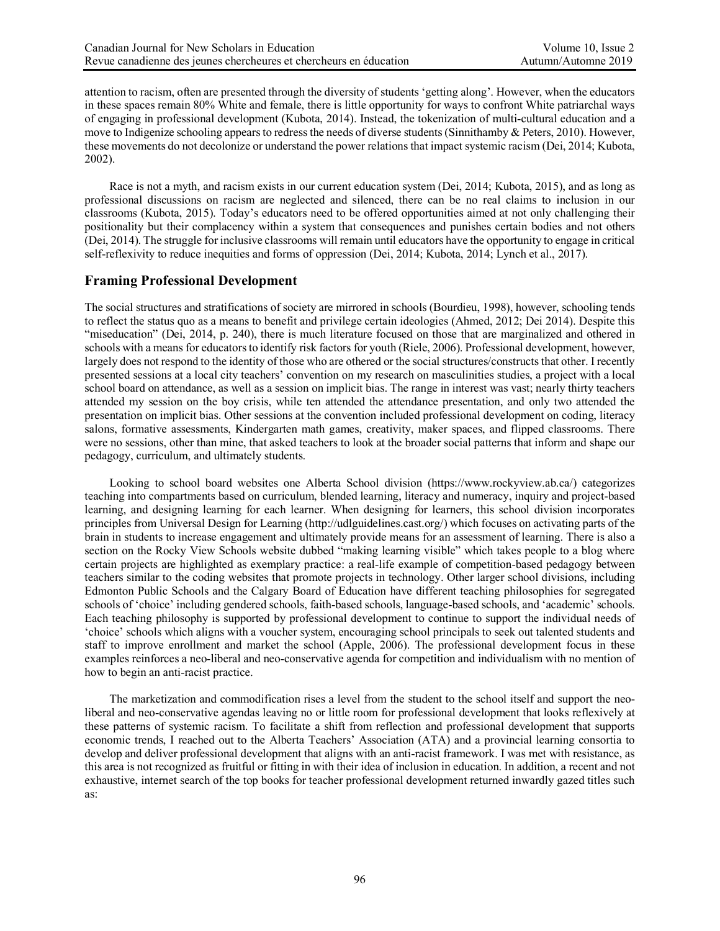attention to racism, often are presented through the diversity of students 'getting along'. However, when the educators in these spaces remain 80% White and female, there is little opportunity for ways to confront White patriarchal ways of engaging in professional development (Kubota, 2014). Instead, the tokenization of multi-cultural education and a move to Indigenize schooling appears to redress the needs of diverse students (Sinnithamby & Peters, 2010). However, these movements do not decolonize or understand the power relations that impact systemic racism (Dei, 2014; Kubota, 2002).

Race is not a myth, and racism exists in our current education system (Dei, 2014; Kubota, 2015), and as long as professional discussions on racism are neglected and silenced, there can be no real claims to inclusion in our classrooms (Kubota, 2015). Today's educators need to be offered opportunities aimed at not only challenging their positionality but their complacency within a system that consequences and punishes certain bodies and not others (Dei, 2014). The struggle for inclusive classrooms will remain until educators have the opportunity to engage in critical self-reflexivity to reduce inequities and forms of oppression (Dei, 2014; Kubota, 2014; Lynch et al., 2017).

# **Framing Professional Development**

The social structures and stratifications of society are mirrored in schools (Bourdieu, 1998), however, schooling tends to reflect the status quo as a means to benefit and privilege certain ideologies (Ahmed, 2012; Dei 2014). Despite this "miseducation" (Dei, 2014, p. 240), there is much literature focused on those that are marginalized and othered in schools with a means for educators to identify risk factors for youth (Riele, 2006). Professional development, however, largely does not respond to the identity of those who are othered or the social structures/constructs that other. I recently presented sessions at a local city teachers' convention on my research on masculinities studies, a project with a local school board on attendance, as well as a session on implicit bias. The range in interest was vast; nearly thirty teachers attended my session on the boy crisis, while ten attended the attendance presentation, and only two attended the presentation on implicit bias. Other sessions at the convention included professional development on coding, literacy salons, formative assessments, Kindergarten math games, creativity, maker spaces, and flipped classrooms. There were no sessions, other than mine, that asked teachers to look at the broader social patterns that inform and shape our pedagogy, curriculum, and ultimately students.

Looking to school board websites one Alberta School division (https://www.rockyview.ab.ca/) categorizes teaching into compartments based on curriculum, blended learning, literacy and numeracy, inquiry and project-based learning, and designing learning for each learner. When designing for learners, this school division incorporates principles from Universal Design for Learning (http://udlguidelines.cast.org/) which focuses on activating parts of the brain in students to increase engagement and ultimately provide means for an assessment of learning. There is also a section on the Rocky View Schools website dubbed "making learning visible" which takes people to a blog where certain projects are highlighted as exemplary practice: a real-life example of competition-based pedagogy between teachers similar to the coding websites that promote projects in technology. Other larger school divisions, including Edmonton Public Schools and the Calgary Board of Education have different teaching philosophies for segregated schools of 'choice' including gendered schools, faith-based schools, language-based schools, and 'academic' schools. Each teaching philosophy is supported by professional development to continue to support the individual needs of 'choice' schools which aligns with a voucher system, encouraging school principals to seek out talented students and staff to improve enrollment and market the school (Apple, 2006). The professional development focus in these examples reinforces a neo-liberal and neo-conservative agenda for competition and individualism with no mention of how to begin an anti-racist practice.

The marketization and commodification rises a level from the student to the school itself and support the neoliberal and neo-conservative agendas leaving no or little room for professional development that looks reflexively at these patterns of systemic racism. To facilitate a shift from reflection and professional development that supports economic trends, I reached out to the Alberta Teachers' Association (ATA) and a provincial learning consortia to develop and deliver professional development that aligns with an anti-racist framework. I was met with resistance, as this area is not recognized as fruitful or fitting in with their idea of inclusion in education. In addition, a recent and not exhaustive, internet search of the top books for teacher professional development returned inwardly gazed titles such as: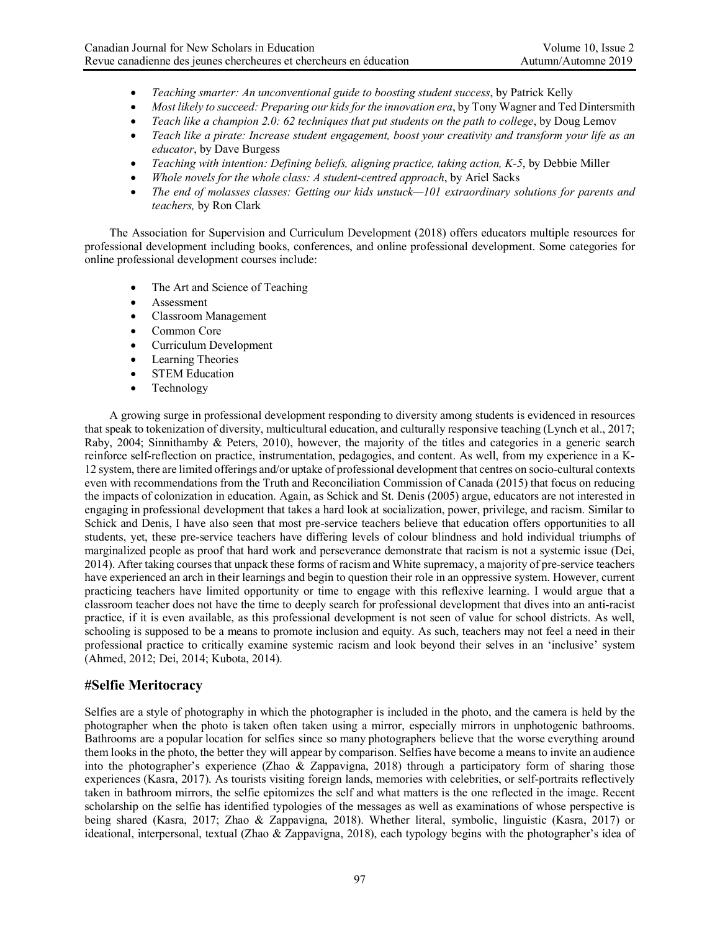- *Teaching smarter: An unconventional guide to boosting student success*, by Patrick Kelly
- *Most likely to succeed: Preparing our kids for the innovation era*, by Tony Wagner and Ted Dintersmith
- *Teach like a champion 2.0: 62 techniques that put students on the path to college*, by Doug Lemov
- *Teach like a pirate: Increase student engagement, boost your creativity and transform your life as an educator*, by Dave Burgess
- *Teaching with intention: Defining beliefs, aligning practice, taking action, K-5*, by Debbie Miller
- *Whole novels for the whole class: A student-centred approach*, by Ariel Sacks
- *The end of molasses classes: Getting our kids unstuck—101 extraordinary solutions for parents and teachers,* by Ron Clark

The Association for Supervision and Curriculum Development (2018) offers educators multiple resources for professional development including books, conferences, and online professional development. Some categories for online professional development courses include:

- The Art and Science of Teaching
- Assessment
- Classroom Management
- Common Core
- Curriculum Development
- Learning Theories
- STEM Education
- Technology

A growing surge in professional development responding to diversity among students is evidenced in resources that speak to tokenization of diversity, multicultural education, and culturally responsive teaching (Lynch et al., 2017; Raby, 2004; Sinnithamby & Peters, 2010), however, the majority of the titles and categories in a generic search reinforce self-reflection on practice, instrumentation, pedagogies, and content. As well, from my experience in a K-12 system, there are limited offerings and/or uptake of professional development that centres on socio-cultural contexts even with recommendations from the Truth and Reconciliation Commission of Canada (2015) that focus on reducing the impacts of colonization in education. Again, as Schick and St. Denis (2005) argue, educators are not interested in engaging in professional development that takes a hard look at socialization, power, privilege, and racism. Similar to Schick and Denis, I have also seen that most pre-service teachers believe that education offers opportunities to all students, yet, these pre-service teachers have differing levels of colour blindness and hold individual triumphs of marginalized people as proof that hard work and perseverance demonstrate that racism is not a systemic issue (Dei, 2014). After taking courses that unpack these forms of racism and White supremacy, a majority of pre-service teachers have experienced an arch in their learnings and begin to question their role in an oppressive system. However, current practicing teachers have limited opportunity or time to engage with this reflexive learning. I would argue that a classroom teacher does not have the time to deeply search for professional development that dives into an anti-racist practice, if it is even available, as this professional development is not seen of value for school districts. As well, schooling is supposed to be a means to promote inclusion and equity. As such, teachers may not feel a need in their professional practice to critically examine systemic racism and look beyond their selves in an 'inclusive' system (Ahmed, 2012; Dei, 2014; Kubota, 2014).

### **#Selfie Meritocracy**

Selfies are a style of photography in which the photographer is included in the photo, and the camera is held by the photographer when the photo is taken often taken using a mirror, especially mirrors in unphotogenic bathrooms. Bathrooms are a popular location for selfies since so many photographers believe that the worse everything around them looks in the photo, the better they will appear by comparison. Selfies have become a means to invite an audience into the photographer's experience (Zhao & Zappavigna, 2018) through a participatory form of sharing those experiences (Kasra, 2017). As tourists visiting foreign lands, memories with celebrities, or self-portraits reflectively taken in bathroom mirrors, the selfie epitomizes the self and what matters is the one reflected in the image. Recent scholarship on the selfie has identified typologies of the messages as well as examinations of whose perspective is being shared (Kasra, 2017; Zhao & Zappavigna, 2018). Whether literal, symbolic, linguistic (Kasra, 2017) or ideational, interpersonal, textual (Zhao & Zappavigna, 2018), each typology begins with the photographer's idea of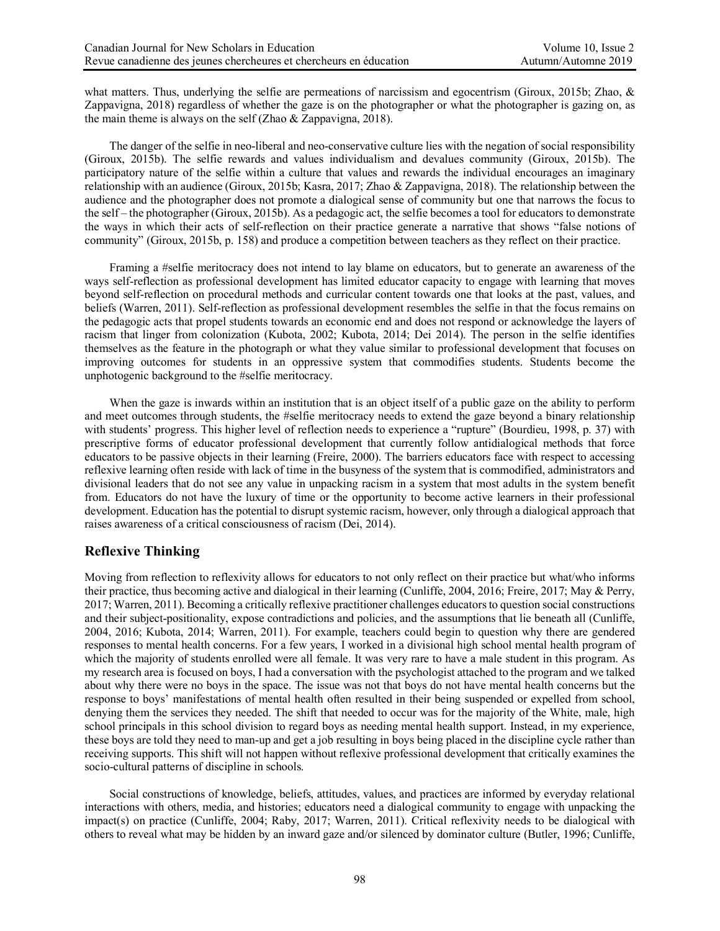what matters. Thus, underlying the selfie are permeations of narcissism and egocentrism (Giroux, 2015b; Zhao, & Zappavigna, 2018) regardless of whether the gaze is on the photographer or what the photographer is gazing on, as the main theme is always on the self (Zhao & Zappavigna, 2018).

The danger of the selfie in neo-liberal and neo-conservative culture lies with the negation of social responsibility (Giroux, 2015b). The selfie rewards and values individualism and devalues community (Giroux, 2015b). The participatory nature of the selfie within a culture that values and rewards the individual encourages an imaginary relationship with an audience (Giroux, 2015b; Kasra, 2017; Zhao & Zappavigna, 2018). The relationship between the audience and the photographer does not promote a dialogical sense of community but one that narrows the focus to the self – the photographer (Giroux, 2015b). As a pedagogic act, the selfie becomes a tool for educators to demonstrate the ways in which their acts of self-reflection on their practice generate a narrative that shows "false notions of community" (Giroux, 2015b, p. 158) and produce a competition between teachers as they reflect on their practice.

Framing a #selfie meritocracy does not intend to lay blame on educators, but to generate an awareness of the ways self-reflection as professional development has limited educator capacity to engage with learning that moves beyond self-reflection on procedural methods and curricular content towards one that looks at the past, values, and beliefs (Warren, 2011). Self-reflection as professional development resembles the selfie in that the focus remains on the pedagogic acts that propel students towards an economic end and does not respond or acknowledge the layers of racism that linger from colonization (Kubota, 2002; Kubota, 2014; Dei 2014). The person in the selfie identifies themselves as the feature in the photograph or what they value similar to professional development that focuses on improving outcomes for students in an oppressive system that commodifies students. Students become the unphotogenic background to the #selfie meritocracy.

When the gaze is inwards within an institution that is an object itself of a public gaze on the ability to perform and meet outcomes through students, the #selfie meritocracy needs to extend the gaze beyond a binary relationship with students' progress. This higher level of reflection needs to experience a "rupture" (Bourdieu, 1998, p. 37) with prescriptive forms of educator professional development that currently follow antidialogical methods that force educators to be passive objects in their learning (Freire, 2000). The barriers educators face with respect to accessing reflexive learning often reside with lack of time in the busyness of the system that is commodified, administrators and divisional leaders that do not see any value in unpacking racism in a system that most adults in the system benefit from. Educators do not have the luxury of time or the opportunity to become active learners in their professional development. Education has the potential to disrupt systemic racism, however, only through a dialogical approach that raises awareness of a critical consciousness of racism (Dei, 2014).

# **Reflexive Thinking**

Moving from reflection to reflexivity allows for educators to not only reflect on their practice but what/who informs their practice, thus becoming active and dialogical in their learning (Cunliffe, 2004, 2016; Freire, 2017; May & Perry, 2017; Warren, 2011). Becoming a critically reflexive practitioner challenges educators to question social constructions and their subject-positionality, expose contradictions and policies, and the assumptions that lie beneath all (Cunliffe, 2004, 2016; Kubota, 2014; Warren, 2011). For example, teachers could begin to question why there are gendered responses to mental health concerns. For a few years, I worked in a divisional high school mental health program of which the majority of students enrolled were all female. It was very rare to have a male student in this program. As my research area is focused on boys, I had a conversation with the psychologist attached to the program and we talked about why there were no boys in the space. The issue was not that boys do not have mental health concerns but the response to boys' manifestations of mental health often resulted in their being suspended or expelled from school, denying them the services they needed. The shift that needed to occur was for the majority of the White, male, high school principals in this school division to regard boys as needing mental health support. Instead, in my experience, these boys are told they need to man-up and get a job resulting in boys being placed in the discipline cycle rather than receiving supports. This shift will not happen without reflexive professional development that critically examines the socio-cultural patterns of discipline in schools.

Social constructions of knowledge, beliefs, attitudes, values, and practices are informed by everyday relational interactions with others, media, and histories; educators need a dialogical community to engage with unpacking the impact(s) on practice (Cunliffe, 2004; Raby, 2017; Warren, 2011). Critical reflexivity needs to be dialogical with others to reveal what may be hidden by an inward gaze and/or silenced by dominator culture (Butler, 1996; Cunliffe,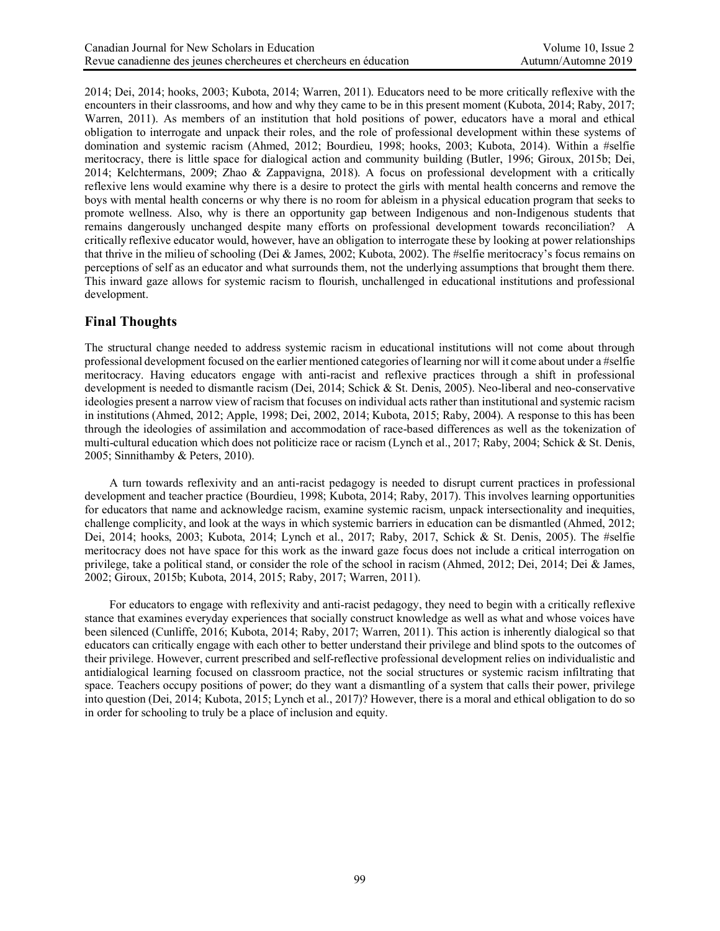2014; Dei, 2014; hooks, 2003; Kubota, 2014; Warren, 2011). Educators need to be more critically reflexive with the encounters in their classrooms, and how and why they came to be in this present moment (Kubota, 2014; Raby, 2017; Warren, 2011). As members of an institution that hold positions of power, educators have a moral and ethical obligation to interrogate and unpack their roles, and the role of professional development within these systems of domination and systemic racism (Ahmed, 2012; Bourdieu, 1998; hooks, 2003; Kubota, 2014). Within a #selfie meritocracy, there is little space for dialogical action and community building (Butler, 1996; Giroux, 2015b; Dei, 2014; Kelchtermans, 2009; Zhao & Zappavigna, 2018). A focus on professional development with a critically reflexive lens would examine why there is a desire to protect the girls with mental health concerns and remove the boys with mental health concerns or why there is no room for ableism in a physical education program that seeks to promote wellness. Also, why is there an opportunity gap between Indigenous and non-Indigenous students that remains dangerously unchanged despite many efforts on professional development towards reconciliation? A critically reflexive educator would, however, have an obligation to interrogate these by looking at power relationships that thrive in the milieu of schooling (Dei & James, 2002; Kubota, 2002). The #selfie meritocracy's focus remains on perceptions of self as an educator and what surrounds them, not the underlying assumptions that brought them there. This inward gaze allows for systemic racism to flourish, unchallenged in educational institutions and professional development.

# **Final Thoughts**

The structural change needed to address systemic racism in educational institutions will not come about through professional development focused on the earlier mentioned categories of learning nor will it come about under a #selfie meritocracy. Having educators engage with anti-racist and reflexive practices through a shift in professional development is needed to dismantle racism (Dei, 2014; Schick & St. Denis, 2005). Neo-liberal and neo-conservative ideologies present a narrow view of racism that focuses on individual acts rather than institutional and systemic racism in institutions (Ahmed, 2012; Apple, 1998; Dei, 2002, 2014; Kubota, 2015; Raby, 2004). A response to this has been through the ideologies of assimilation and accommodation of race-based differences as well as the tokenization of multi-cultural education which does not politicize race or racism (Lynch et al., 2017; Raby, 2004; Schick & St. Denis, 2005; Sinnithamby & Peters, 2010).

A turn towards reflexivity and an anti-racist pedagogy is needed to disrupt current practices in professional development and teacher practice (Bourdieu, 1998; Kubota, 2014; Raby, 2017). This involves learning opportunities for educators that name and acknowledge racism, examine systemic racism, unpack intersectionality and inequities, challenge complicity, and look at the ways in which systemic barriers in education can be dismantled (Ahmed, 2012; Dei, 2014; hooks, 2003; Kubota, 2014; Lynch et al., 2017; Raby, 2017, Schick & St. Denis, 2005). The #selfie meritocracy does not have space for this work as the inward gaze focus does not include a critical interrogation on privilege, take a political stand, or consider the role of the school in racism (Ahmed, 2012; Dei, 2014; Dei & James, 2002; Giroux, 2015b; Kubota, 2014, 2015; Raby, 2017; Warren, 2011).

For educators to engage with reflexivity and anti-racist pedagogy, they need to begin with a critically reflexive stance that examines everyday experiences that socially construct knowledge as well as what and whose voices have been silenced (Cunliffe, 2016; Kubota, 2014; Raby, 2017; Warren, 2011). This action is inherently dialogical so that educators can critically engage with each other to better understand their privilege and blind spots to the outcomes of their privilege. However, current prescribed and self-reflective professional development relies on individualistic and antidialogical learning focused on classroom practice, not the social structures or systemic racism infiltrating that space. Teachers occupy positions of power; do they want a dismantling of a system that calls their power, privilege into question (Dei, 2014; Kubota, 2015; Lynch et al., 2017)? However, there is a moral and ethical obligation to do so in order for schooling to truly be a place of inclusion and equity.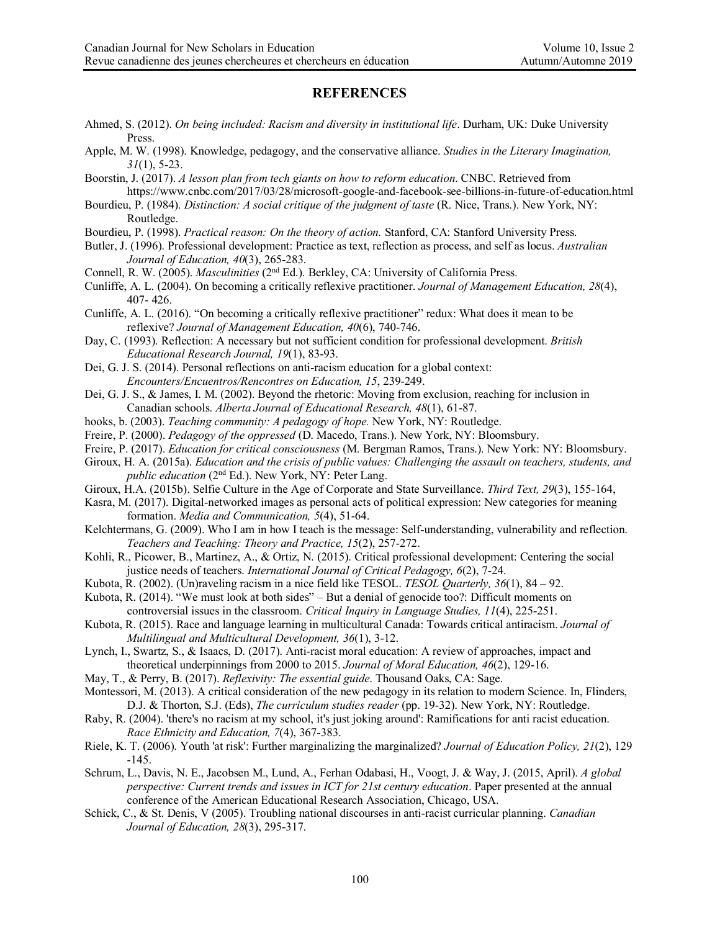### **REFERENCES**

- Ahmed, S. (2012). *On being included: Racism and diversity in institutional life*. Durham, UK: Duke University Press.
- Apple, M. W. (1998). Knowledge, pedagogy, and the conservative alliance. *Studies in the Literary Imagination, 31*(1), 5-23.
- Boorstin, J. (2017). *A lesson plan from tech giants on how to reform education*. CNBC. Retrieved from https://www.cnbc.com/2017/03/28/microsoft-google-and-facebook-see-billions-in-future-of-education.html
- Bourdieu, P. (1984). *Distinction: A social critique of the judgment of taste* (R. Nice, Trans.). New York, NY: Routledge.
- Bourdieu, P. (1998). *Practical reason: On the theory of action.* Stanford, CA: Stanford University Press.
- Butler, J. (1996). Professional development: Practice as text, reflection as process, and self as locus. *Australian Journal of Education, 40*(3), 265-283.
- Connell, R. W. (2005). *Masculinities* (2nd Ed.). Berkley, CA: University of California Press.
- Cunliffe, A. L. (2004). On becoming a critically reflexive practitioner. *Journal of Management Education, 28*(4), 407- 426.
- Cunliffe, A. L. (2016). "On becoming a critically reflexive practitioner" redux: What does it mean to be reflexive? *Journal of Management Education, 40*(6), 740-746.
- Day, C. (1993). Reflection: A necessary but not sufficient condition for professional development. *British Educational Research Journal, 19*(1), 83-93.
- Dei, G. J. S. (2014). Personal reflections on anti-racism education for a global context: *Encounters/Encuentros/Rencontres on Education, 15*, 239-249.
- Dei, G. J. S., & James, I. M. (2002). Beyond the rhetoric: Moving from exclusion, reaching for inclusion in Canadian schools. *Alberta Journal of Educational Research, 48*(1), 61-87.
- hooks, b. (2003). *Teaching community: A pedagogy of hope.* New York, NY: Routledge.
- Freire, P. (2000). *Pedagogy of the oppressed* (D. Macedo, Trans.). New York, NY: Bloomsbury.
- Freire, P. (2017). *Education for critical consciousness* (M. Bergman Ramos, Trans.). New York: NY: Bloomsbury.
- Giroux, H. A. (2015a). *Education and the crisis of public values: Challenging the assault on teachers, students, and public education* (2nd Ed.). New York, NY: Peter Lang.
- Giroux, H.A. (2015b). Selfie Culture in the Age of Corporate and State Surveillance. *Third Text, 29*(3), 155-164,
- Kasra, M. (2017). Digital-networked images as personal acts of political expression: New categories for meaning formation. *Media and Communication, 5*(4), 51-64.
- Kelchtermans, G. (2009). Who I am in how I teach is the message: Self-understanding, vulnerability and reflection. *Teachers and Teaching: Theory and Practice, 15*(2), 257-272.
- Kohli, R., Picower, B., Martinez, A., & Ortiz, N. (2015). Critical professional development: Centering the social justice needs of teachers. *International Journal of Critical Pedagogy, 6*(2), 7-24.
- Kubota, R. (2002). (Un)raveling racism in a nice field like TESOL. *TESOL Quarterly, 36*(1), 84 92.
- Kubota, R. (2014). "We must look at both sides" But a denial of genocide too?: Difficult moments on controversial issues in the classroom. *Critical Inquiry in Language Studies, 11*(4), 225-251.
- Kubota, R. (2015). Race and language learning in multicultural Canada: Towards critical antiracism. *Journal of Multilingual and Multicultural Development, 36*(1), 3-12.
- Lynch, I., Swartz, S., & Isaacs, D. (2017). Anti-racist moral education: A review of approaches, impact and theoretical underpinnings from 2000 to 2015. *Journal of Moral Education, 46*(2), 129-16.
- May, T., & Perry, B. (2017). *Reflexivity: The essential guide*. Thousand Oaks, CA: Sage.
- Montessori, M. (2013). A critical consideration of the new pedagogy in its relation to modern Science. In, Flinders, D.J. & Thorton, S.J. (Eds), *The curriculum studies reader* (pp. 19-32). New York, NY: Routledge.
- Raby, R. (2004). 'there's no racism at my school, it's just joking around': Ramifications for anti racist education. *Race Ethnicity and Education, 7*(4), 367-383.
- Riele, K. T. (2006). Youth 'at risk': Further marginalizing the marginalized? *Journal of Education Policy, 21*(2), 129 -145.
- Schrum, L., Davis, N. E., Jacobsen M., Lund, A., Ferhan Odabasi, H., Voogt, J. & Way, J. (2015, April). *A global perspective: Current trends and issues in ICT for 21st century education*. Paper presented at the annual conference of the American Educational Research Association, Chicago, USA.
- Schick, C., & St. Denis, V (2005). Troubling national discourses in anti-racist curricular planning. *Canadian Journal of Education, 28*(3), 295-317.